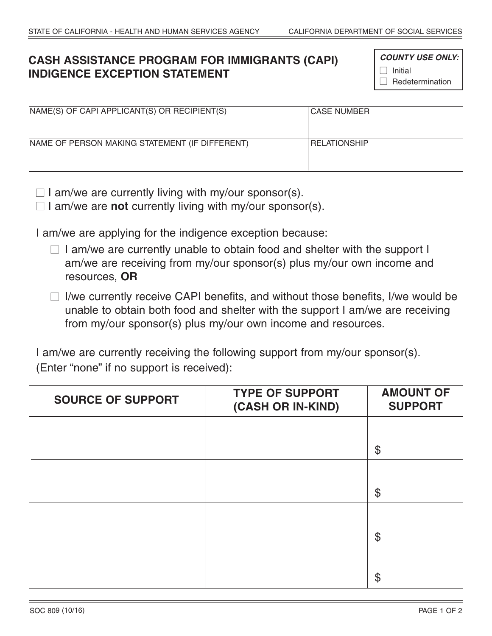## **CASH ASSISTANCE PROGRAM FOR IMMIGRANTS (CAPI) INDIGENCE EXCEPTION STATEMENT**

 *COUNTY USE ONLY:*  $\Box$  Initial  $\Box$  Redetermination

| NAME(S) OF CAPI APPLICANT(S) OR RECIPIENT(S)   | <b>CASE NUMBER</b>  |
|------------------------------------------------|---------------------|
| NAME OF PERSON MAKING STATEMENT (IF DIFFERENT) | <b>RELATIONSHIP</b> |

 $\Box$  I am/we are currently living with my/our sponsor(s).

□ I am/we are **not** currently living with my/our sponsor(s).

I am/we are applying for the indigence exception because:

 $\Box$  I am/we are currently unable to obtain food and shelter with the support I am/we are receiving from my/our sponsor(s) plus my/our own income and resources, **OR**

 $\Box$  I/we currently receive CAPI benefits, and without those benefits, I/we would be unable to obtain both food and shelter with the support I am/we are receiving from my/our sponsor(s) plus my/our own income and resources.

 I am/we are currently receiving the following support from my/our sponsor(s). (Enter "none" if no support is received):

| <b>SOURCE OF SUPPORT</b> | <b>TYPE OF SUPPORT</b><br>(CASH OR IN-KIND) | <b>AMOUNT OF</b><br><b>SUPPORT</b> |
|--------------------------|---------------------------------------------|------------------------------------|
|                          |                                             |                                    |
|                          |                                             | $\frac{1}{2}$                      |
|                          |                                             |                                    |
|                          |                                             | $\frac{1}{2}$                      |
|                          |                                             |                                    |
|                          |                                             | $\boldsymbol{\mathsf{\$}}$         |
|                          |                                             |                                    |
|                          |                                             | $\boldsymbol{\mathsf{\$}}$         |